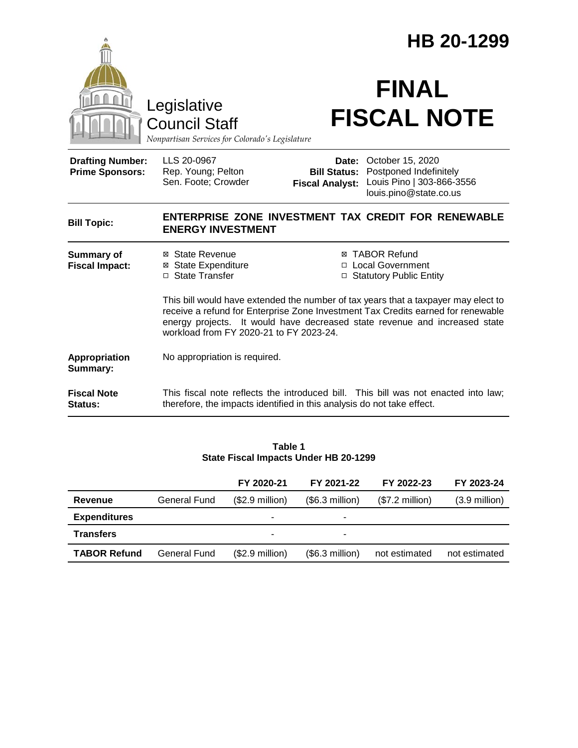|                                                                                        |                                                                                                                                                                                                                                                                                                 | HB 20-1299                                             |                                                                                                   |  |  |  |
|----------------------------------------------------------------------------------------|-------------------------------------------------------------------------------------------------------------------------------------------------------------------------------------------------------------------------------------------------------------------------------------------------|--------------------------------------------------------|---------------------------------------------------------------------------------------------------|--|--|--|
| Legislative<br><b>Council Staff</b><br>Nonpartisan Services for Colorado's Legislature |                                                                                                                                                                                                                                                                                                 | <b>FINAL</b><br><b>FISCAL NOTE</b>                     |                                                                                                   |  |  |  |
| <b>Drafting Number:</b><br><b>Prime Sponsors:</b>                                      | LLS 20-0967<br>Rep. Young; Pelton<br>Sen. Foote; Crowder                                                                                                                                                                                                                                        | Date:<br><b>Bill Status:</b><br><b>Fiscal Analyst:</b> | October 15, 2020<br>Postponed Indefinitely<br>Louis Pino   303-866-3556<br>louis.pino@state.co.us |  |  |  |
| <b>Bill Topic:</b>                                                                     | <b>ENERGY INVESTMENT</b>                                                                                                                                                                                                                                                                        |                                                        | ENTERPRISE ZONE INVESTMENT TAX CREDIT FOR RENEWABLE                                               |  |  |  |
| <b>Summary of</b><br><b>Fiscal Impact:</b>                                             | ⊠ State Revenue<br><b>⊠</b> State Expenditure<br>□ State Transfer                                                                                                                                                                                                                               |                                                        | ⊠ TABOR Refund<br>□ Local Government<br>□ Statutory Public Entity                                 |  |  |  |
|                                                                                        | This bill would have extended the number of tax years that a taxpayer may elect to<br>receive a refund for Enterprise Zone Investment Tax Credits earned for renewable<br>energy projects. It would have decreased state revenue and increased state<br>workload from FY 2020-21 to FY 2023-24. |                                                        |                                                                                                   |  |  |  |
| Appropriation<br>Summary:                                                              | No appropriation is required.                                                                                                                                                                                                                                                                   |                                                        |                                                                                                   |  |  |  |
| <b>Fiscal Note</b><br>Status:                                                          | therefore, the impacts identified in this analysis do not take effect.                                                                                                                                                                                                                          |                                                        | This fiscal note reflects the introduced bill. This bill was not enacted into law;                |  |  |  |
|                                                                                        |                                                                                                                                                                                                                                                                                                 |                                                        |                                                                                                   |  |  |  |

| Table 1                               |  |  |  |  |  |  |  |  |
|---------------------------------------|--|--|--|--|--|--|--|--|
| State Fiscal Impacts Under HB 20-1299 |  |  |  |  |  |  |  |  |

|                     |                     | FY 2020-21               | FY 2021-22      | FY 2022-23      | FY 2023-24              |
|---------------------|---------------------|--------------------------|-----------------|-----------------|-------------------------|
| Revenue             | <b>General Fund</b> | $($2.9$ million)         | (\$6.3 million) | (\$7.2 million) | $(3.9 \text{ million})$ |
| <b>Expenditures</b> |                     | $\overline{\phantom{0}}$ |                 |                 |                         |
| <b>Transfers</b>    |                     | -                        |                 |                 |                         |
| <b>TABOR Refund</b> | <b>General Fund</b> | $($2.9$ million)         | (\$6.3 million) | not estimated   | not estimated           |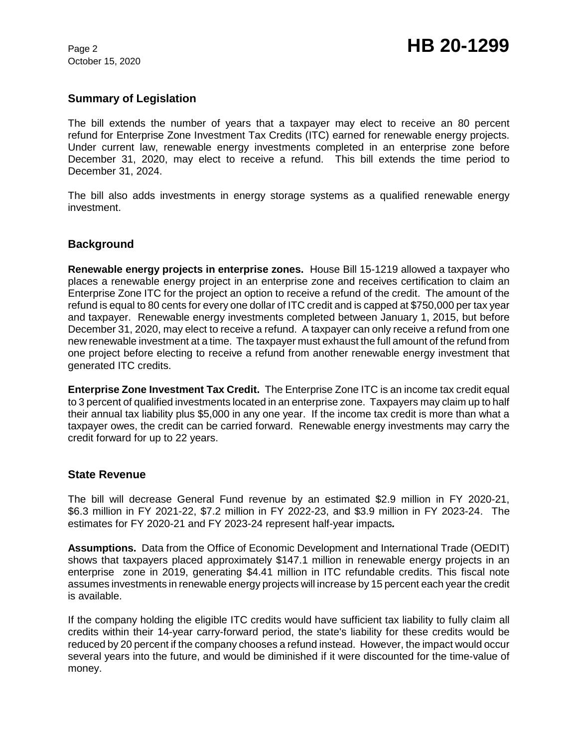October 15, 2020

## **Summary of Legislation**

The bill extends the number of years that a taxpayer may elect to receive an 80 percent refund for Enterprise Zone Investment Tax Credits (ITC) earned for renewable energy projects. Under current law, renewable energy investments completed in an enterprise zone before December 31, 2020, may elect to receive a refund. This bill extends the time period to December 31, 2024.

The bill also adds investments in energy storage systems as a qualified renewable energy investment.

## **Background**

**Renewable energy projects in enterprise zones.** House Bill 15-1219 allowed a taxpayer who places a renewable energy project in an enterprise zone and receives certification to claim an Enterprise Zone ITC for the project an option to receive a refund of the credit. The amount of the refund is equal to 80 cents for every one dollar of ITC credit and is capped at \$750,000 per tax year and taxpayer. Renewable energy investments completed between January 1, 2015, but before December 31, 2020, may elect to receive a refund. A taxpayer can only receive a refund from one new renewable investment at a time. The taxpayer must exhaust the full amount of the refund from one project before electing to receive a refund from another renewable energy investment that generated ITC credits.

**Enterprise Zone Investment Tax Credit.** The Enterprise Zone ITC is an income tax credit equal to 3 percent of qualified investments located in an enterprise zone. Taxpayers may claim up to half their annual tax liability plus \$5,000 in any one year. If the income tax credit is more than what a taxpayer owes, the credit can be carried forward. Renewable energy investments may carry the credit forward for up to 22 years.

## **State Revenue**

The bill will decrease General Fund revenue by an estimated \$2.9 million in FY 2020-21, \$6.3 million in FY 2021-22, \$7.2 million in FY 2022-23, and \$3.9 million in FY 2023-24. The estimates for FY 2020-21 and FY 2023-24 represent half-year impacts*.* 

**Assumptions.** Data from the Office of Economic Development and International Trade (OEDIT) shows that taxpayers placed approximately \$147.1 million in renewable energy projects in an enterprise zone in 2019, generating \$4.41 million in ITC refundable credits. This fiscal note assumes investments in renewable energy projects will increase by 15 percent each year the credit is available.

If the company holding the eligible ITC credits would have sufficient tax liability to fully claim all credits within their 14-year carry-forward period, the state's liability for these credits would be reduced by 20 percent if the company chooses a refund instead. However, the impact would occur several years into the future, and would be diminished if it were discounted for the time-value of money.